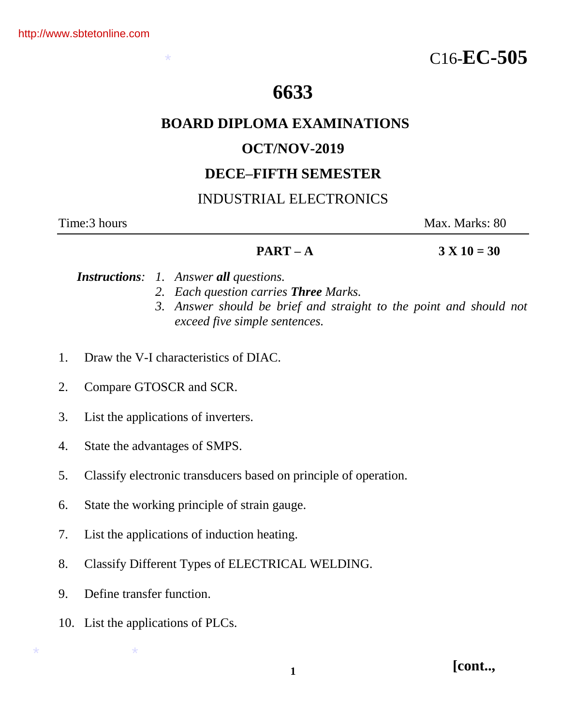# **6633**

## **BOARD DIPLOMA EXAMINATIONS**

## **OCT/NOV-2019**

## **DECE–FIFTH SEMESTER**

# INDUSTRIAL ELECTRONICS

#### Time:3 hours *Max. Marks: 80*

#### **PART** – **A** 3 X 10 = 30

*Instructions: 1. Answer all questions.*

\*

- *2. Each question carries Three Marks.*
- *3. Answer should be brief and straight to the point and should not exceed five simple sentences.*
- 1. Draw the V-I characteristics of DIAC.
- 2. Compare GTOSCR and SCR.
- 3. List the applications of inverters.
- 4. State the advantages of SMPS.
- 5. Classify electronic transducers based on principle of operation.
- 6. State the working principle of strain gauge.
- 7. List the applications of induction heating.
- 8. Classify Different Types of ELECTRICAL WELDING.
- 9. Define transfer function.

 $\star$   $\star$ 

10. List the applications of PLCs.

**[cont..,**